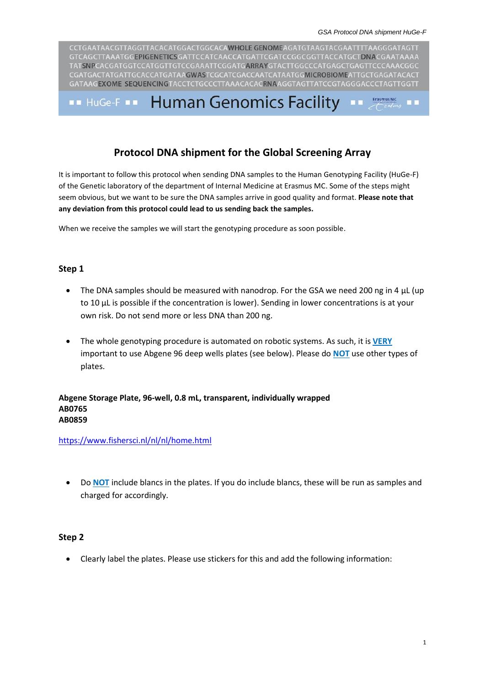CCTGAATAACGTTAGGTTACACATGGACTGGCACAWHOLE GENOMEAGATGTAAGTACGAATTTTAAGGGATAGTT GTCAGCTTAAATGGEPIGENETICSGATTCCATCAACCATGATTCGATCCGGCGGTTACCATGCTDNACGAATAAAA TATSNPCACGATGGTCCATGGTTGTCCGAAATTCGGATGARRAYGTACTTGGCCCATGAGCTGAGTTCCCAAACGGC CGATGACTATGATTGCACCATGATAAGWASTCGCATCGACCAATCATAATGGMICROBIOMEATTGCTGAGATACACT GATAAGEXOME SEQUENCINGTACCTCTGCCCTTAAACACACRNAAGGTAGTTATCCGTAGGGACCCTAGTTGGTT

### **Human Genomics Facility** Erasmus MC  $\blacksquare$  HuGe-F  $\blacksquare$

## **Protocol DNA shipment for the Global Screening Array**

It is important to follow this protocol when sending DNA samples to the Human Genotyping Facility (HuGe-F) of the Genetic laboratory of the department of Internal Medicine at Erasmus MC. Some of the steps might seem obvious, but we want to be sure the DNA samples arrive in good quality and format. **Please note that any deviation from this protocol could lead to us sending back the samples.**

When we receive the samples we will start the genotyping procedure as soon possible.

## **Step 1**

- The DNA samples should be measured with nanodrop. For the GSA we need 200 ng in 4 μL (up to 10 μL is possible if the concentration is lower). Sending in lower concentrations is at your own risk. Do not send more or less DNA than 200 ng.
- The whole genotyping procedure is automated on robotic systems. As such, it is **VERY** important to use Abgene 96 deep wells plates (see below). Please do **NOT** use other types of plates.

## **Abgene Storage Plate, 96-well, 0.8 mL, transparent, individually wrapped AB0765 AB0859**

<https://www.fishersci.nl/nl/nl/home.html>

 Do **NOT** include blancs in the plates. If you do include blancs, these will be run as samples and charged for accordingly.

## **Step 2**

Clearly label the plates. Please use stickers for this and add the following information: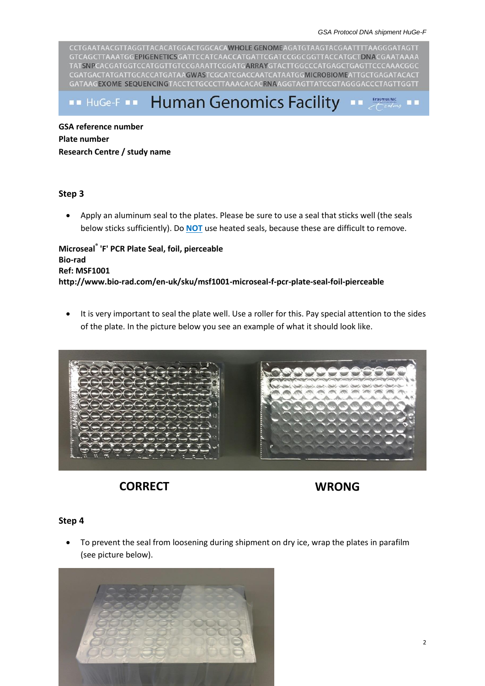CCTGAATAACGTTAGGTTACACATGGACTGGCACAWHOLE GENOMEAGATGTAAGTACGAATTTTAAGGGATAGTT GTCAGCTTAAATGGEPIGENETICSGATTCCATCAACCATGATTCGATCCGGCGGTTACCATGCTDNACGAATAAAA TATSNPCACGATGGTCCATGGTTGTCCGAAATTCGGATGARRAYGTACTTGGCCCATGAGCTGAGTTCCCAAACGGC CGATGACTATGATTGCACCATGATAAGWASTCGCATCGACCAATCATAATGGMICROBIOMEATTGCTGAGATACACT GATAAGEXOME SEQUENCINGTACCTCTGCCCTTAAACACACRNAAGGTAGTTATCCGTAGGGACCCTAGTTGGTT

**Human Genomics Facility**  $\blacksquare$  HuGe-F  $\blacksquare$ 

**GSA reference number Plate number Research Centre / study name**

## **Step 3**

 Apply an aluminum seal to the plates. Please be sure to use a seal that sticks well (the seals below sticks sufficiently). Do **NOT** use heated seals, because these are difficult to remove.

**Microseal® 'F' PCR Plate Seal, foil, pierceable Bio-rad Ref: MSF1001 http://www.bio-rad.com/en-uk/sku/msf1001-microseal-f-pcr-plate-seal-foil-pierceable**

 It is very important to seal the plate well. Use a roller for this. Pay special attention to the sides of the plate. In the picture below you see an example of what it should look like.



# **CORRECT WRONG**

## **Step 4**

 To prevent the seal from loosening during shipment on dry ice, wrap the plates in parafilm (see picture below).

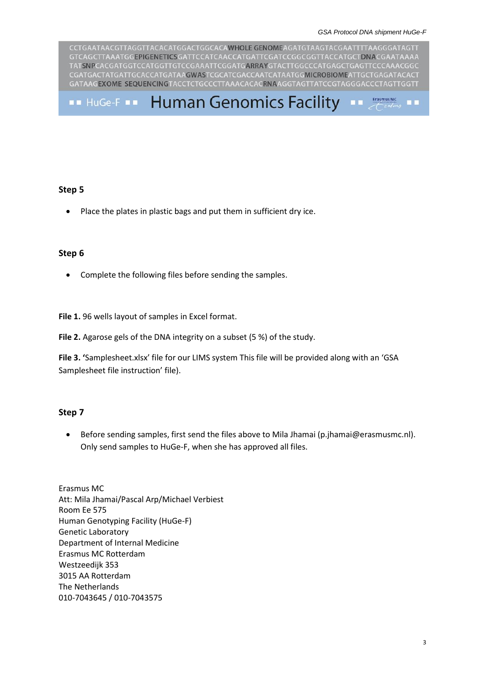CCTGAATAACGTTAGGTTACACATGGACTGGCACAWHOLE GENOMEAGATGTAAGTACGAATTTTAAGGGATAGTT GTCAGCTTAAATGGEPIGENETICSGATTCCATCAACCATGATTCGATCCGGCGGTTACCATGCTDNACGAATAAAA TATSNPCACGATGGTCCATGGTTGTCCGAAATTCGGATGARRAYGTACTTGGCCCATGAGCTGAGTTCCCAAACGGC CGATGACTATGATTGCACCATGATAAGWASTCGCATCGACCAATCATAATGGMICROBIOMEATTGCTGAGATACACT GATAAGEXOME SEQUENCINGTACCTCTGCCCTTAAACACACRNAAGGTAGTTATCCGTAGGGACCCTAGTTGGTT

**Human Genomics Facility** Erasmus MC  $\blacksquare$  HuGe-F  $\blacksquare$  $\blacksquare$ 

## **Step 5**

• Place the plates in plastic bags and put them in sufficient dry ice.

## **Step 6**

• Complete the following files before sending the samples.

**File 1.** 96 wells layout of samples in Excel format.

**File 2.** Agarose gels of the DNA integrity on a subset (5 %) of the study.

**File 3. '**Samplesheet.xlsx' file for our LIMS system This file will be provided along with an 'GSA Samplesheet file instruction' file).

## **Step 7**

 Before sending samples, first send the files above to Mila Jhamai (p.jhamai@erasmusmc.nl). Only send samples to HuGe-F, when she has approved all files.

Erasmus MC Att: Mila Jhamai/Pascal Arp/Michael Verbiest Room Ee 575 Human Genotyping Facility (HuGe-F) Genetic Laboratory Department of Internal Medicine Erasmus MC Rotterdam Westzeedijk 353 3015 AA Rotterdam The Netherlands 010-7043645 / 010-7043575